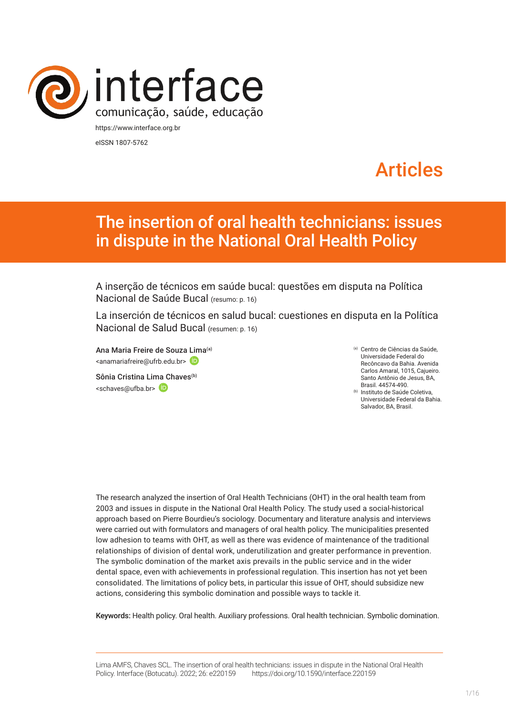

eISSN 1807-5762

# Articles

# The insertion of oral health technicians: issues in dispute in the National Oral Health Policy

A inserção de técnicos em saúde bucal: questões em disputa na Política Nacional de Saúde Bucal (resumo: p. 16)

La inserción de técnicos en salud bucal: cuestiones en disputa en la Política Nacional de Salud Bucal (resumen: p. 16)

Ana Maria Freire de Souza [Lim](https://orcid.org/0000-0002-9285-194X)a(a) <anamariafreire@ufrb.edu.br>

Sônia Cristina Li[ma C](https://orcid.org/0000-0002-1476-8649)haves<sup>(b)</sup> <schaves@ufba.br>

(a) Centro de Ciências da Saúde, Universidade Federal do Recôncavo da Bahia. Avenida Carlos Amaral, 1015, Cajueiro. Santo Antônio de Jesus, BA, Brasil. 44574-490.

(b) Instituto de Saúde Coletiva, Universidade Federal da Bahia. Salvador, BA, Brasil.

The research analyzed the insertion of Oral Health Technicians (OHT) in the oral health team from 2003 and issues in dispute in the National Oral Health Policy. The study used a social-historical approach based on Pierre Bourdieu's sociology. Documentary and literature analysis and interviews were carried out with formulators and managers of oral health policy. The municipalities presented low adhesion to teams with OHT, as well as there was evidence of maintenance of the traditional relationships of division of dental work, underutilization and greater performance in prevention. The symbolic domination of the market axis prevails in the public service and in the wider dental space, even with achievements in professional regulation. This insertion has not yet been consolidated. The limitations of policy bets, in particular this issue of OHT, should subsidize new actions, considering this symbolic domination and possible ways to tackle it.

Keywords: Health policy. Oral health. Auxiliary professions. Oral health technician. Symbolic domination.

Lima AMFS, Chaves SCL. The insertion of oral health technicians: issues in dispute in the National Oral Health Policy. Interface (Botucatu). 2022; 26: e220159 [https://d](https://10.11606/S1518-787.201805200XXXX)oi.org/10.1590/interface.220159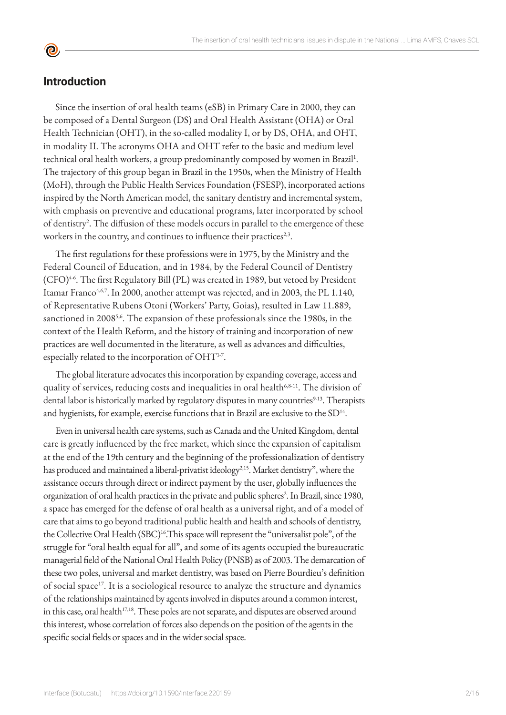#### **Introduction**

 $\bullet$ 

Since the insertion of oral health teams (eSB) in Primary Care in 2000, they can be composed of a Dental Surgeon (DS) and Oral Health Assistant (OHA) or Oral Health Technician (OHT), in the so-called modality I, or by DS, OHA, and OHT, in modality II. The acronyms OHA and OHT refer to the basic and medium level technical oral health workers, a group predominantly composed by women in Brazil<sup>1</sup>. The trajectory of this group began in Brazil in the 1950s, when the Ministry of Health (MoH), through the Public Health Services Foundation (FSESP), incorporated actions inspired by the North American model, the sanitary dentistry and incremental system, with emphasis on preventive and educational programs, later incorporated by school of dentistry<sup>2</sup>. The diffusion of these models occurs in parallel to the emergence of these workers in the country, and continues to influence their practices<sup>2,3</sup>.

The first regulations for these professions were in 1975, by the Ministry and the Federal Council of Education, and in 1984, by the Federal Council of Dentistry (CFO)<sup>46</sup>. The first Regulatory Bill (PL) was created in 1989, but vetoed by President Itamar Franco<sup>4,6,7</sup>. In 2000, another attempt was rejected, and in 2003, the PL 1.140, of Representative Rubens Otoni (Workers' Party, Goias), resulted in Law 11.889, sanctioned in 2008<sup>5,6</sup>. The expansion of these professionals since the 1980s, in the context of the Health Reform, and the history of training and incorporation of new practices are well documented in the literature, as well as advances and difficulties, especially related to the incorporation of OHT<sup>1-7</sup>.

The global literature advocates this incorporation by expanding coverage, access and quality of services, reducing costs and inequalities in oral health<sup>6,8-11</sup>. The division of dental labor is historically marked by regulatory disputes in many countries<sup>9-13</sup>. Therapists and hygienists, for example, exercise functions that in Brazil are exclusive to the SD<sup>14</sup>.

Even in universal health care systems, such as Canada and the United Kingdom, dental care is greatly influenced by the free market, which since the expansion of capitalism at the end of the 19th century and the beginning of the professionalization of dentistry has produced and maintained a liberal-privatist ideology<sup>2,15</sup>. Market dentistry", where the assistance occurs through direct or indirect payment by the user, globally influences the organization of oral health practices in the private and public spheres<sup>2</sup>. In Brazil, since 1980, a space has emerged for the defense of oral health as a universal right, and of a model of care that aims to go beyond traditional public health and health and schools of dentistry, the Collective Oral Health (SBC)<sup>16</sup>. This space will represent the "universalist pole", of the struggle for "oral health equal for all", and some of its agents occupied the bureaucratic managerial field of the National Oral Health Policy (PNSB) as of 2003. The demarcation of these two poles, universal and market dentistry, was based on Pierre Bourdieu's definition of social space<sup>17</sup>. It is a sociological resource to analyze the structure and dynamics of the relationships maintained by agents involved in disputes around a common interest, in this case, oral health<sup>17,18</sup>. These poles are not separate, and disputes are observed around this interest, whose correlation of forces also depends on the position of the agents in the specific social fields or spaces and in the wider social space.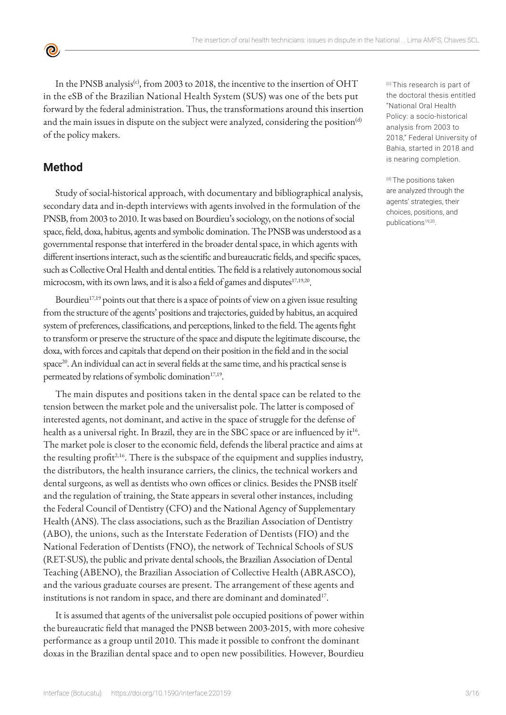In the PNSB analysis<sup>(c)</sup>, from 2003 to 2018, the incentive to the insertion of OHT in the eSB of the Brazilian National Health System (SUS) was one of the bets put forward by the federal administration. Thus, the transformations around this insertion and the main issues in dispute on the subject were analyzed, considering the position<sup>(d)</sup> of the policy makers.

## **Method**

<u>ල</u>

Study of social-historical approach, with documentary and bibliographical analysis, secondary data and in-depth interviews with agents involved in the formulation of the PNSB, from 2003 to 2010. It was based on Bourdieu's sociology, on the notions of social space, field, doxa, habitus, agents and symbolic domination. The PNSB was understood as a governmental response that interfered in the broader dental space, in which agents with different insertions interact, such as the scientific and bureaucratic fields, and specific spaces, such as Collective Oral Health and dental entities. The field is a relatively autonomous social microcosm, with its own laws, and it is also a field of games and disputes<sup>17,19,20</sup>.

Bourdieu<sup>17,19</sup> points out that there is a space of points of view on a given issue resulting from the structure of the agents' positions and trajectories, guided by habitus, an acquired system of preferences, classifications, and perceptions, linked to the field. The agents fight to transform or preserve the structure of the space and dispute the legitimate discourse, the doxa, with forces and capitals that depend on their position in the field and in the social space<sup>20</sup>. An individual can act in several fields at the same time, and his practical sense is permeated by relations of symbolic domination<sup>17,19</sup>.

The main disputes and positions taken in the dental space can be related to the tension between the market pole and the universalist pole. The latter is composed of interested agents, not dominant, and active in the space of struggle for the defense of health as a universal right. In Brazil, they are in the SBC space or are influenced by it<sup>16</sup>. The market pole is closer to the economic field, defends the liberal practice and aims at the resulting profit<sup>2,16</sup>. There is the subspace of the equipment and supplies industry, the distributors, the health insurance carriers, the clinics, the technical workers and dental surgeons, as well as dentists who own offices or clinics. Besides the PNSB itself and the regulation of training, the State appears in several other instances, including the Federal Council of Dentistry (CFO) and the National Agency of Supplementary Health (ANS). The class associations, such as the Brazilian Association of Dentistry (ABO), the unions, such as the Interstate Federation of Dentists (FIO) and the National Federation of Dentists (FNO), the network of Technical Schools of SUS (RET-SUS), the public and private dental schools, the Brazilian Association of Dental Teaching (ABENO), the Brazilian Association of Collective Health (ABRASCO), and the various graduate courses are present. The arrangement of these agents and institutions is not random in space, and there are dominant and dominated<sup>17</sup>.

It is assumed that agents of the universalist pole occupied positions of power within the bureaucratic field that managed the PNSB between 2003-2015, with more cohesive performance as a group until 2010. This made it possible to confront the dominant doxas in the Brazilian dental space and to open new possibilities. However, Bourdieu

(c) This research is part of the doctoral thesis entitled "National Oral Health Policy: a socio-historical analysis from 2003 to 2018," Federal University of Bahia, started in 2018 and is nearing completion.

(d) The positions taken are analyzed through the agents' strategies, their choices, positions, and publications<sup>19,20</sup>.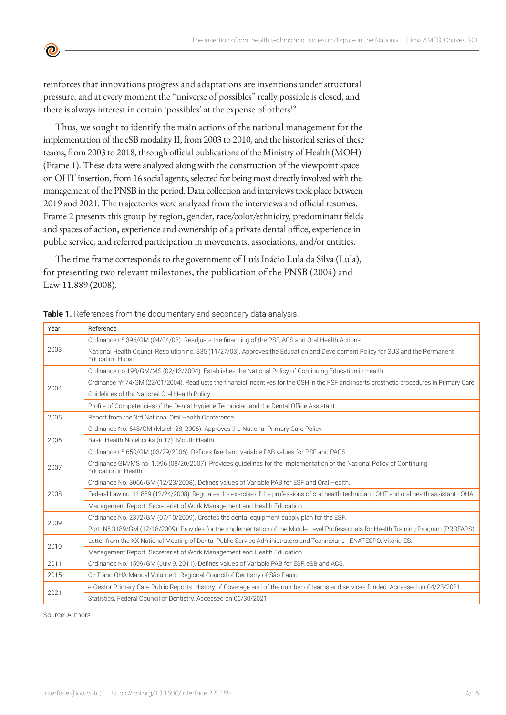reinforces that innovations progress and adaptations are inventions under structural pressure, and at every moment the "universe of possibles" really possible is closed, and there is always interest in certain 'possibles' at the expense of others<sup>19</sup>.

Thus, we sought to identify the main actions of the national management for the implementation of the eSB modality II, from 2003 to 2010, and the historical series of these teams, from 2003 to 2018, through official publications of the Ministry of Health (MOH) (Frame 1). These data were analyzed along with the construction of the viewpoint space on OHT insertion, from 16 social agents, selected for being most directly involved with the management of the PNSB in the period. Data collection and interviews took place between 2019 and 2021. The trajectories were analyzed from the interviews and official resumes. Frame 2 presents this group by region, gender, race/color/ethnicity, predominant fields and spaces of action, experience and ownership of a private dental office, experience in public service, and referred participation in movements, associations, and/or entities.

The time frame corresponds to the government of Luís Inácio Lula da Silva (Lula), for presenting two relevant milestones, the publication of the PNSB (2004) and Law 11.889 (2008).

| Year | Reference                                                                                                                                         |
|------|---------------------------------------------------------------------------------------------------------------------------------------------------|
| 2003 | Ordinance nº 396/GM (04/04/03). Readjusts the financing of the PSF, ACS and Oral Health Actions.                                                  |
|      | National Health Council Resolution no. 335 (11/27/03). Approves the Education and Development Policy for SUS and the Permanent<br>Education Hubs. |
|      | Ordinance no 198/GM/MS (02/13/2004). Establishes the National Policy of Continuing Education in Health.                                           |
| 2004 | Ordinance nº 74/GM (22/01/2004). Readjusts the financial incentives for the OSH in the PSF and inserts prosthetic procedures in Primary Care.     |
|      | Guidelines of the National Oral Health Policy.                                                                                                    |
|      | Profile of Competencies of the Dental Hygiene Technician and the Dental Office Assistant.                                                         |
| 2005 | Report from the 3rd National Oral Health Conference                                                                                               |
|      | Ordinance No. 648/GM (March 28, 2006). Approves the National Primary Care Policy.                                                                 |
| 2006 | Basic Health Notebooks (n.17) -Mouth Health                                                                                                       |
|      | Ordinance nº 650/GM (03/29/2006). Defines fixed and variable PAB values for PSF and PACS                                                          |
| 2007 | Ordinance GM/MS no. 1.996 (08/20/2007). Provides quidelines for the implementation of the National Policy of Continuing<br>Education in Health.   |
| 2008 | Ordinance No. 3066/GM (12/23/2008). Defines values of Variable PAB for ESF and Oral Health.                                                       |
|      | Federal Law no. 11.889 (12/24/2008). Regulates the exercise of the professions of oral health technician - OHT and oral health assistant - OHA.   |
|      | Management Report. Secretariat of Work Management and Health Education.                                                                           |
| 2009 | Ordinance No. 2372/GM (07/10/2009). Creates the dental equipment supply plan for the ESF.                                                         |
|      | Port. Nº 3189/GM (12/18/2009). Provides for the implementation of the Middle Level Professionals for Health Training Program (PROFAPS).           |
|      | Letter from the XX National Meeting of Dental Public Service Administrators and Technicians - ENATESPO. Vitória-ES.                               |
| 2010 | Management Report. Secretariat of Work Management and Health Education.                                                                           |
| 2011 | Ordinance No. 1599/GM (July 9, 2011). Defines values of Variable PAB for ESF, eSB and ACS.                                                        |
| 2015 | OHT and OHA Manual Volume 1. Regional Council of Dentistry of São Paulo.                                                                          |
| 2021 | e-Gestor Primary Care Public Reports. History of Coverage and of the number of teams and services funded. Accessed on 04/23/2021.                 |
|      | Statistics. Federal Council of Dentistry. Accessed on 06/30/2021.                                                                                 |

**Table 1.** References from the documentary and secondary data analysis.

Source: Authors.

**©**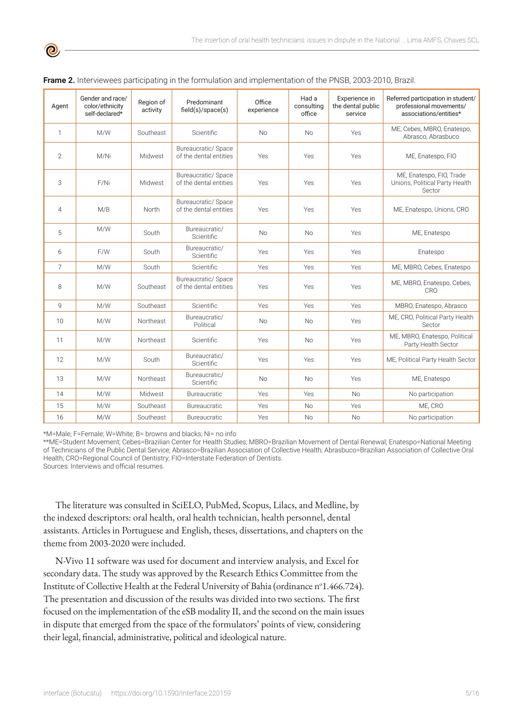| Agent          | Gender and race/<br>color/ethnicity<br>self-declared* | Region of<br>activity | Predominant<br>field(s)/space(s)              | Office<br>experience | Had a<br>consulting<br>office | Experience in<br>the dental public<br>service | Referred participation in student/<br>professional movements/<br>associations/entities* |  |  |
|----------------|-------------------------------------------------------|-----------------------|-----------------------------------------------|----------------------|-------------------------------|-----------------------------------------------|-----------------------------------------------------------------------------------------|--|--|
| $\mathbf{1}$   | M/W                                                   | Southeast             | Scientific                                    | <b>No</b>            | No                            | Yes                                           | ME, Cebes, MBRO, Enatespo,<br>Abrasco, Abrasbuco                                        |  |  |
| $\overline{2}$ | M/Ni                                                  | Midwest               | Bureaucratic/ Space<br>of the dental entities | Yes                  | Yes                           | Yes                                           | ME, Enatespo, FIO                                                                       |  |  |
| 3              | F/Ni                                                  | Midwest               | Bureaucratic/ Space<br>of the dental entities | Yes                  | Yes                           | Yes                                           | ME, Enatespo, FIO, Trade<br>Unions, Political Party Health<br>Sector                    |  |  |
| $\overline{4}$ | M/B                                                   | North                 | Bureaucratic/ Space<br>of the dental entities | Yes                  | Yes                           | Yes                                           | ME, Enatespo, Unions, CRO                                                               |  |  |
| 5              | M/W                                                   | South                 | Bureaucratic/<br>Scientific                   | <b>No</b>            | <b>No</b>                     | Yes                                           | ME, Enatespo                                                                            |  |  |
| 6              | F/W                                                   | South                 | Bureaucratic/<br>Scientific                   | Yes                  | Yes                           | Yes                                           | Enatespo                                                                                |  |  |
| 7              | M/W                                                   | South                 | <b>Scientific</b>                             | Yes                  | Yes                           | Yes                                           | ME, MBRO, Cebes, Enatespo                                                               |  |  |
| 8              | M/W                                                   | Southeast             | Bureaucratic/ Space<br>of the dental entities | Yes                  | Yes                           | Yes                                           | ME, MBRO, Enatespo, Cebes,<br>CRO                                                       |  |  |
| 9              | M/W                                                   | Southeast             | <b>Scientific</b>                             | Yes                  | Yes                           | Yes                                           | MBRO, Enatespo, Abrasco                                                                 |  |  |
| 10             | M/W                                                   | Northeast             | Bureaucratic/<br>Political                    | <b>No</b>            | <b>No</b>                     | Yes                                           | ME, CRO, Political Party Health<br>Sector                                               |  |  |
| 11             | M/W                                                   | Northeast             | Scientific                                    | Yes                  | <b>No</b>                     | Yes                                           | ME, MBRO, Enatespo, Political<br>Party Health Sector                                    |  |  |
| 12             | M/W                                                   | South                 | Bureaucratic/<br>Scientific                   | Yes                  | Yes                           | Yes                                           | ME, Political Party Health Sector                                                       |  |  |
| 13             | M/W                                                   | Northeast             | Bureaucratic/<br>Scientific                   | <b>No</b>            | <b>No</b>                     | Yes                                           | ME, Enatespo                                                                            |  |  |
| 14             | M/W                                                   | Midwest               | Bureaucratic                                  | Yes                  | Yes                           | <b>No</b>                                     | No participation                                                                        |  |  |
| 15             | M/W                                                   | Southeast             | <b>Bureaucratic</b>                           | Yes                  | <b>No</b>                     | Yes                                           | ME, CRO                                                                                 |  |  |
| 16             | M/W                                                   | Southeast             | <b>Bureaucratic</b>                           | Yes                  | <b>No</b>                     | <b>No</b>                                     | No participation                                                                        |  |  |

| Frame 2. Interviewees participating in the formulation and implementation of the PNSB, 2003-2010, Brazil. |  |  |  |  |  |  |
|-----------------------------------------------------------------------------------------------------------|--|--|--|--|--|--|
|-----------------------------------------------------------------------------------------------------------|--|--|--|--|--|--|

\*M=Male; F=Female; W=White; B= browns and blacks; Ni= no info

\*\*ME=Student Movement; Cebes=Brazilian Center for Health Studies; MBRO=Brazilian Movement of Dental Renewal; Enatespo=National Meeting of Technicians of the Public Dental Service; Abrasco=Brazilian Association of Collective Health; Abrasbuco=Brazilian Association of Collective Oral Health; CRO=Regional Council of Dentistry; FIO=Interstate Federation of Dentists. Sources: Interviews and official resumes.

The literature was consulted in SciELO, PubMed, Scopus, Lilacs, and Medline, by the indexed descriptors: oral health, oral health technician, health personnel, dental assistants. Articles in Portuguese and English, theses, dissertations, and chapters on the theme from 2003-2020 were included.

N-Vivo 11 software was used for document and interview analysis, and Excel for secondary data. The study was approved by the Research Ethics Committee from the Institute of Collective Health at the Federal University of Bahia (ordinance n°1.466.724). The presentation and discussion of the results was divided into two sections. The first focused on the implementation of the eSB modality II, and the second on the main issues in dispute that emerged from the space of the formulators' points of view, considering their legal, financial, administrative, political and ideological nature.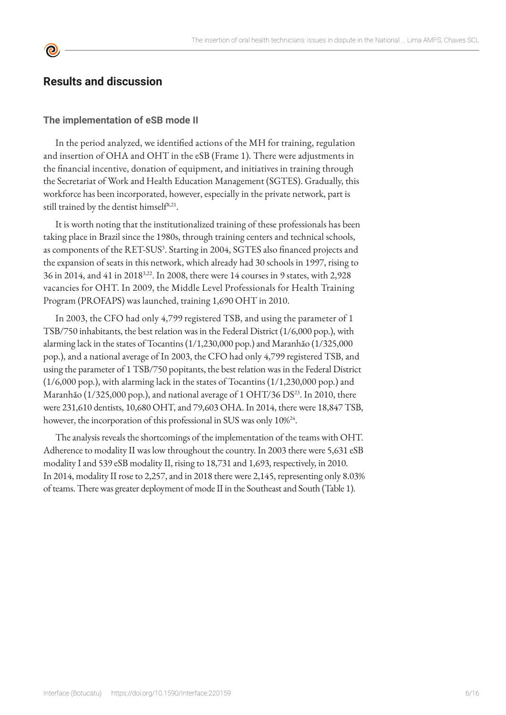# **Results and discussion**

**©** 

#### **The implementation of eSB mode II**

In the period analyzed, we identified actions of the MH for training, regulation and insertion of OHA and OHT in the eSB (Frame 1). There were adjustments in the financial incentive, donation of equipment, and initiatives in training through the Secretariat of Work and Health Education Management (SGTES). Gradually, this workforce has been incorporated, however, especially in the private network, part is still trained by the dentist himself $8,21$ .

It is worth noting that the institutionalized training of these professionals has been taking place in Brazil since the 1980s, through training centers and technical schools, as components of the RET-SUS<sup>3</sup>. Starting in 2004, SGTES also financed projects and the expansion of seats in this network, which already had 30 schools in 1997, rising to 36 in 2014, and 41 in 20183,22. In 2008, there were 14 courses in 9 states, with 2,928 vacancies for OHT. In 2009, the Middle Level Professionals for Health Training Program (PROFAPS) was launched, training 1,690 OHT in 2010.

In 2003, the CFO had only 4,799 registered TSB, and using the parameter of 1 TSB/750 inhabitants, the best relation was in the Federal District (1/6,000 pop.), with alarming lack in the states of Tocantins (1/1,230,000 pop.) and Maranhão (1/325,000 pop.), and a national average of In 2003, the CFO had only 4,799 registered TSB, and using the parameter of 1 TSB/750 popitants, the best relation was in the Federal District (1/6,000 pop.), with alarming lack in the states of Tocantins (1/1,230,000 pop.) and Maranhão (1/325,000 pop.), and national average of 1 OHT/36 DS<sup>23</sup>. In 2010, there were 231,610 dentists, 10,680 OHT, and 79,603 OHA. In 2014, there were 18,847 TSB, however, the incorporation of this professional in SUS was only 10%<sup>24</sup>.

The analysis reveals the shortcomings of the implementation of the teams with OHT. Adherence to modality II was low throughout the country. In 2003 there were 5,631 eSB modality I and 539 eSB modality II, rising to 18,731 and 1,693, respectively, in 2010. In 2014, modality II rose to 2,257, and in 2018 there were 2,145, representing only 8.03% of teams. There was greater deployment of mode II in the Southeast and South (Table 1).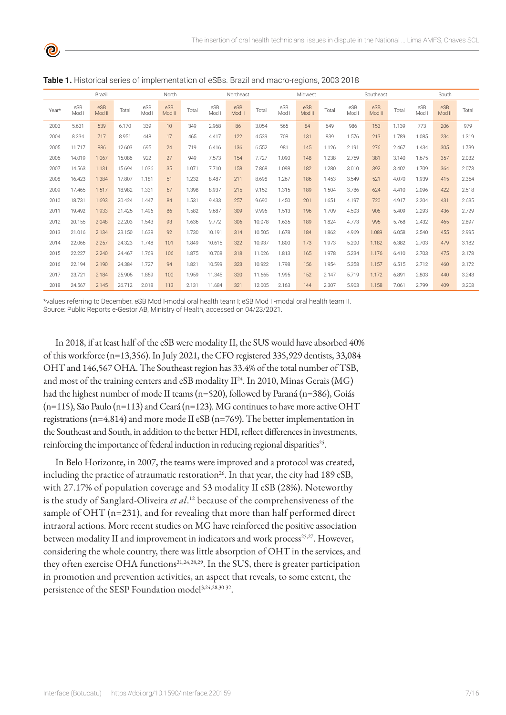| Brazil |              |               | North  |              |               | Northeast |              |               | Midwest |              |               | Southeast |              |               | South |              |               |       |
|--------|--------------|---------------|--------|--------------|---------------|-----------|--------------|---------------|---------|--------------|---------------|-----------|--------------|---------------|-------|--------------|---------------|-------|
| Year*  | eSB<br>Mod I | eSB<br>Mod II | Total  | eSB<br>Mod I | eSB<br>Mod II | Total     | eSB<br>Mod I | eSB<br>Mod II | Total   | eSB<br>Mod I | eSB<br>Mod II | Total     | eSB<br>Mod I | eSB<br>Mod II | Total | eSB<br>Mod I | eSB<br>Mod II | Total |
| 2003   | 5.631        | 539           | 6.170  | 339          | 10            | 349       | 2.968        | 86            | 3.054   | 565          | 84            | 649       | 986          | 153           | 1.139 | 773          | 206           | 979   |
| 2004   | 8.234        | 717           | 8.951  | 448          | 17            | 465       | 4.417        | 122           | 4.539   | 708          | 131           | 839       | 1.576        | 213           | 1.789 | 1.085        | 234           | 1.319 |
| 2005   | 11.717       | 886           | 12.603 | 695          | 24            | 719       | 6.416        | 136           | 6.552   | 981          | 145           | 1.126     | 2.191        | 276           | 2.467 | 1.434        | 305           | 1.739 |
| 2006   | 14.019       | 1.067         | 15.086 | 922          | 27            | 949       | 7.573        | 154           | 7.727   | 1.090        | 148           | 1.238     | 2.759        | 381           | 3.140 | 1.675        | 357           | 2.032 |
| 2007   | 14.563       | 1.131         | 15.694 | 1.036        | 35            | 1.071     | 7.710        | 158           | 7.868   | 1.098        | 182           | 1.280     | 3.010        | 392           | 3.402 | 1.709        | 364           | 2.073 |
| 2008   | 16.423       | 1.384         | 17.807 | 1.181        | 51            | 1.232     | 8.487        | 211           | 8.698   | 1.267        | 186           | 1.453     | 3.549        | 521           | 4.070 | 1.939        | 415           | 2.354 |
| 2009   | 17.465       | 1.517         | 18.982 | 1.331        | 67            | 1.398     | 8.937        | 215           | 9.152   | 1.315        | 189           | 1.504     | 3.786        | 624           | 4.410 | 2.096        | 422           | 2.518 |
| 2010   | 18.731       | 1.693         | 20.424 | 1.447        | 84            | 1.531     | 9.433        | 257           | 9.690   | 1.450        | 201           | 1.651     | 4.197        | 720           | 4.917 | 2.204        | 431           | 2.635 |
| 2011   | 19.492       | 1.933         | 21.425 | 1.496        | 86            | 1.582     | 9.687        | 309           | 9.996   | 1.513        | 196           | 1.709     | 4.503        | 906           | 5.409 | 2.293        | 436           | 2.729 |
| 2012   | 20.155       | 2.048         | 22.203 | 1.543        | 93            | 1.636     | 9.772        | 306           | 10.078  | 1.635        | 189           | 1.824     | 4.773        | 995           | 5.768 | 2.432        | 465           | 2.897 |
| 2013   | 21.016       | 2.134         | 23.150 | 1.638        | 92            | 1.730     | 10.191       | 314           | 10.505  | 1.678        | 184           | 1.862     | 4.969        | 1.089         | 6.058 | 2.540        | 455           | 2.995 |
| 2014   | 22.066       | 2.257         | 24.323 | 1.748        | 101           | 1.849     | 10.615       | 322           | 10.937  | 1.800        | 173           | 1.973     | 5.200        | 1.182         | 6.382 | 2.703        | 479           | 3.182 |
| 2015   | 22.227       | 2.240         | 24.467 | 1.769        | 106           | 1.875     | 10.708       | 318           | 11.026  | 1.813        | 165           | 1.978     | 5.234        | 1.176         | 6.410 | 2.703        | 475           | 3.178 |
| 2016   | 22.194       | 2.190         | 24.384 | 1.727        | 94            | 1.821     | 10.599       | 323           | 10.922  | 1.798        | 156           | 1.954     | 5.358        | 1.157         | 6.515 | 2.712        | 460           | 3.172 |
| 2017   | 23.721       | 2.184         | 25.905 | 1.859        | 100           | 1.959     | 11.345       | 320           | 11.665  | 1.995        | 152           | 2.147     | 5.719        | 1.172         | 6.891 | 2.803        | 440           | 3.243 |
| 2018   | 24.567       | 2.145         | 26.712 | 2.018        | 113           | 2.131     | 11.684       | 321           | 12.005  | 2.163        | 144           | 2.307     | 5.903        | 1.158         | 7.061 | 2.799        | 409           | 3.208 |

**Table 1.** Historical series of implementation of eSBs. Brazil and macro-regions, 2003 2018

\*values referring to December. eSB Mod I-modal oral health team I; eSB Mod II-modal oral health team II. Source: Public Reports e-Gestor AB, Ministry of Health, accessed on 04/23/2021.

In 2018, if at least half of the eSB were modality II, the SUS would have absorbed 40% of this workforce (n=13,356). In July 2021, the CFO registered 335,929 dentists, 33,084 OHT and 146,567 OHA. The Southeast region has 33.4% of the total number of TSB, and most of the training centers and eSB modality II<sup>24</sup>. In 2010, Minas Gerais (MG) had the highest number of mode II teams (n=520), followed by Paraná (n=386), Goiás (n=115), São Paulo (n=113) and Ceará (n=123). MG continues to have more active OHT registrations (n=4,814) and more mode II eSB (n=769). The better implementation in the Southeast and South, in addition to the better HDI, reflect differences in investments, reinforcing the importance of federal induction in reducing regional disparities<sup>25</sup>.

In Belo Horizonte, in 2007, the teams were improved and a protocol was created, including the practice of atraumatic restoration<sup>26</sup>. In that year, the city had  $189 eSB$ , with 27.17% of population coverage and 53 modality II eSB (28%). Noteworthy is the study of Sanglard-Oliveira *et al*. 12 because of the comprehensiveness of the sample of OHT (n=231), and for revealing that more than half performed direct intraoral actions. More recent studies on MG have reinforced the positive association between modality II and improvement in indicators and work process<sup>25,27</sup>. However, considering the whole country, there was little absorption of OHT in the services, and they often exercise OHA functions<sup>21,24,28,29</sup>. In the SUS, there is greater participation in promotion and prevention activities, an aspect that reveals, to some extent, the persistence of the SESP Foundation model<sup>3,24,28,30-32</sup>.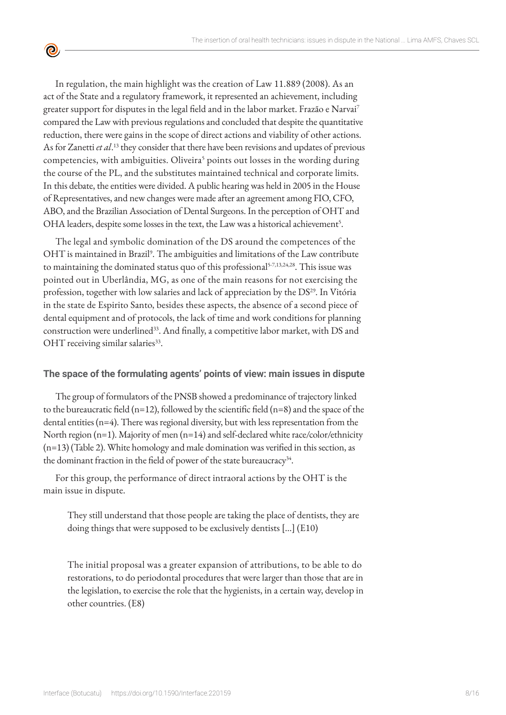In regulation, the main highlight was the creation of Law 11.889 (2008). As an act of the State and a regulatory framework, it represented an achievement, including greater support for disputes in the legal field and in the labor market. Frazão e Narvai<sup>7</sup> compared the Law with previous regulations and concluded that despite the quantitative reduction, there were gains in the scope of direct actions and viability of other actions. As for Zanetti *et al*. 13 they consider that there have been revisions and updates of previous competencies, with ambiguities. Oliveira<sup>5</sup> points out losses in the wording during the course of the PL, and the substitutes maintained technical and corporate limits. In this debate, the entities were divided. A public hearing was held in 2005 in the House of Representatives, and new changes were made after an agreement among FIO, CFO, ABO, and the Brazilian Association of Dental Surgeons. In the perception of OHT and OHA leaders, despite some losses in the text, the Law was a historical achievement<sup>5</sup>.

 $\bullet$ 

The legal and symbolic domination of the DS around the competences of the OHT is maintained in Brazil<sup>9</sup>. The ambiguities and limitations of the Law contribute to maintaining the dominated status quo of this professional<sup>5-7,13,24,28</sup>. This issue was pointed out in Uberlândia, MG, as one of the main reasons for not exercising the profession, together with low salaries and lack of appreciation by the DS<sup>29</sup>. In Vitória in the state de Espirito Santo, besides these aspects, the absence of a second piece of dental equipment and of protocols, the lack of time and work conditions for planning construction were underlined<sup>33</sup>. And finally, a competitive labor market, with DS and  $OHT$  receiving similar salaries $^{33}$ .

#### **The space of the formulating agents' points of view: main issues in dispute**

The group of formulators of the PNSB showed a predominance of trajectory linked to the bureaucratic field (n=12), followed by the scientific field (n=8) and the space of the dental entities (n=4). There was regional diversity, but with less representation from the North region (n=1). Majority of men (n=14) and self-declared white race/color/ethnicity (n=13) (Table 2). White homology and male domination was verified in this section, as the dominant fraction in the field of power of the state bureaucracy<sup>34</sup>.

For this group, the performance of direct intraoral actions by the OHT is the main issue in dispute.

They still understand that those people are taking the place of dentists, they are doing things that were supposed to be exclusively dentists [...] (E10)

The initial proposal was a greater expansion of attributions, to be able to do restorations, to do periodontal procedures that were larger than those that are in the legislation, to exercise the role that the hygienists, in a certain way, develop in other countries. (E8)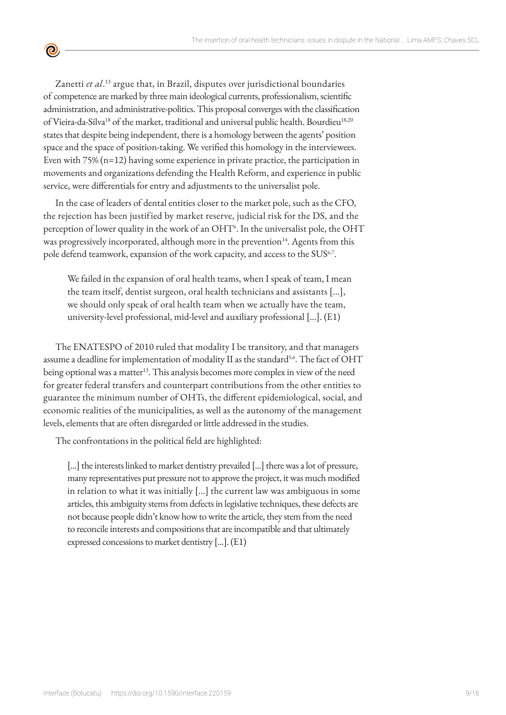Zanetti *et al*.<sup>13</sup> argue that, in Brazil, disputes over jurisdictional boundaries of competence are marked by three main ideological currents, professionalism, scientific administration, and administrative-politics. This proposal converges with the classification of Vieira-da-Silva<sup>18</sup> of the market, traditional and universal public health. Bourdieu<sup>18,20</sup> states that despite being independent, there is a homology between the agents' position space and the space of position-taking. We verified this homology in the interviewees. Even with 75% (n=12) having some experience in private practice, the participation in movements and organizations defending the Health Reform, and experience in public service, were differentials for entry and adjustments to the universalist pole.

<u>ල</u>

In the case of leaders of dental entities closer to the market pole, such as the CFO, the rejection has been justified by market reserve, judicial risk for the DS, and the perception of lower quality in the work of an OHT<sup>6</sup>. In the universalist pole, the OHT was progressively incorporated, although more in the prevention<sup>14</sup>. Agents from this pole defend teamwork, expansion of the work capacity, and access to the SUS<sup>6,7</sup>.

We failed in the expansion of oral health teams, when I speak of team, I mean the team itself, dentist surgeon, oral health technicians and assistants [...], we should only speak of oral health team when we actually have the team, university-level professional, mid-level and auxiliary professional [...]. (E1)

The ENATESPO of 2010 ruled that modality I be transitory, and that managers assume a deadline for implementation of modality II as the standard<sup>5,6</sup>. The fact of OHT being optional was a matter<sup>13</sup>. This analysis becomes more complex in view of the need for greater federal transfers and counterpart contributions from the other entities to guarantee the minimum number of OHTs, the different epidemiological, social, and economic realities of the municipalities, as well as the autonomy of the management levels, elements that are often disregarded or little addressed in the studies.

The confrontations in the political field are highlighted:

[...] the interests linked to market dentistry prevailed [...] there was a lot of pressure, many representatives put pressure not to approve the project, it was much modified in relation to what it was initially [...] the current law was ambiguous in some articles, this ambiguity stems from defects in legislative techniques, these defects are not because people didn't know how to write the article, they stem from the need to reconcile interests and compositions that are incompatible and that ultimately expressed concessions to market dentistry [...]. (E1)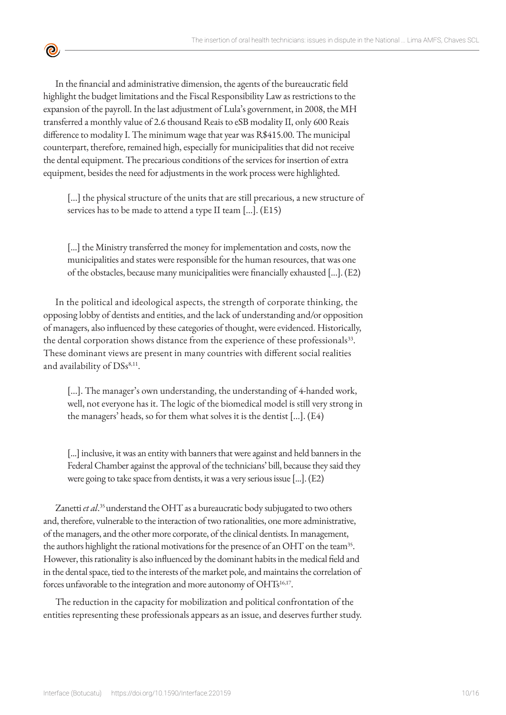<u>ල</u>

In the financial and administrative dimension, the agents of the bureaucratic field highlight the budget limitations and the Fiscal Responsibility Law as restrictions to the expansion of the payroll. In the last adjustment of Lula's government, in 2008, the MH transferred a monthly value of 2.6 thousand Reais to eSB modality II, only 600 Reais difference to modality I. The minimum wage that year was R\$415.00. The municipal counterpart, therefore, remained high, especially for municipalities that did not receive the dental equipment. The precarious conditions of the services for insertion of extra equipment, besides the need for adjustments in the work process were highlighted.

[...] the physical structure of the units that are still precarious, a new structure of services has to be made to attend a type II team [...]. (E15)

[...] the Ministry transferred the money for implementation and costs, now the municipalities and states were responsible for the human resources, that was one of the obstacles, because many municipalities were financially exhausted [...]. (E2)

In the political and ideological aspects, the strength of corporate thinking, the opposing lobby of dentists and entities, and the lack of understanding and/or opposition of managers, also influenced by these categories of thought, were evidenced. Historically, the dental corporation shows distance from the experience of these professionals<sup>33</sup>. These dominant views are present in many countries with different social realities and availability of  $DSS^{8,11}$ .

[...]. The manager's own understanding, the understanding of 4-handed work, well, not everyone has it. The logic of the biomedical model is still very strong in the managers' heads, so for them what solves it is the dentist [...]. (E4)

[...] inclusive, it was an entity with banners that were against and held banners in the Federal Chamber against the approval of the technicians' bill, because they said they were going to take space from dentists, it was a very serious issue [...]. (E2)

Zanetti *et al*. 35 understand the OHT as a bureaucratic body subjugated to two others and, therefore, vulnerable to the interaction of two rationalities, one more administrative, of the managers, and the other more corporate, of the clinical dentists. In management, the authors highlight the rational motivations for the presence of an OHT on the team<sup>35</sup>. However, this rationality is also influenced by the dominant habits in the medical field and in the dental space, tied to the interests of the market pole, and maintains the correlation of forces unfavorable to the integration and more autonomy of OHTs<sup>16,17</sup>.

The reduction in the capacity for mobilization and political confrontation of the entities representing these professionals appears as an issue, and deserves further study.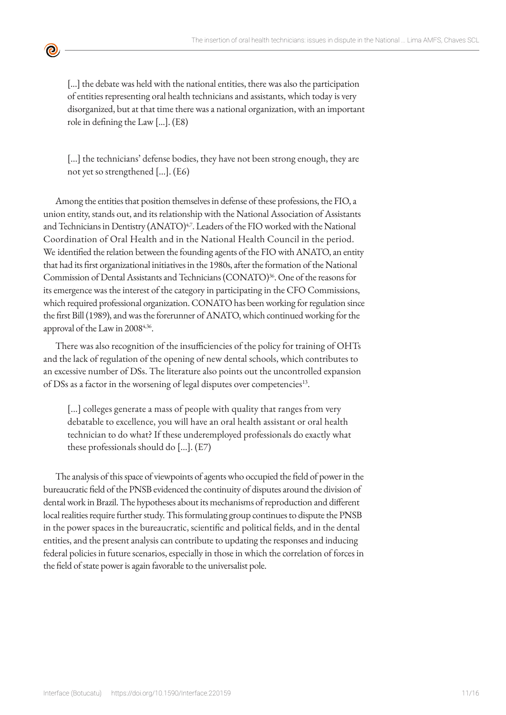[...] the debate was held with the national entities, there was also the participation of entities representing oral health technicians and assistants, which today is very disorganized, but at that time there was a national organization, with an important role in defining the Law [...]. (E8)

<u>ල</u>

[...] the technicians' defense bodies, they have not been strong enough, they are not yet so strengthened [...]. (E6)

Among the entities that position themselves in defense of these professions, the FIO, a union entity, stands out, and its relationship with the National Association of Assistants and Technicians in Dentistry (ANATO)<sup>4,7</sup>. Leaders of the FIO worked with the National Coordination of Oral Health and in the National Health Council in the period. We identified the relation between the founding agents of the FIO with ANATO, an entity that had its first organizational initiatives in the 1980s, after the formation of the National Commission of Dental Assistants and Technicians (CONATO)<sup>36</sup>. One of the reasons for its emergence was the interest of the category in participating in the CFO Commissions, which required professional organization. CONATO has been working for regulation since the first Bill (1989), and was the forerunner of ANATO, which continued working for the approval of the Law in 20084,36.

There was also recognition of the insufficiencies of the policy for training of OHTs and the lack of regulation of the opening of new dental schools, which contributes to an excessive number of DSs. The literature also points out the uncontrolled expansion of DSs as a factor in the worsening of legal disputes over competencies<sup>13</sup>.

[...] colleges generate a mass of people with quality that ranges from very debatable to excellence, you will have an oral health assistant or oral health technician to do what? If these underemployed professionals do exactly what these professionals should do [...]. (E7)

The analysis of this space of viewpoints of agents who occupied the field of power in the bureaucratic field of the PNSB evidenced the continuity of disputes around the division of dental work in Brazil. The hypotheses about its mechanisms of reproduction and different local realities require further study. This formulating group continues to dispute the PNSB in the power spaces in the bureaucratic, scientific and political fields, and in the dental entities, and the present analysis can contribute to updating the responses and inducing federal policies in future scenarios, especially in those in which the correlation of forces in the field of state power is again favorable to the universalist pole.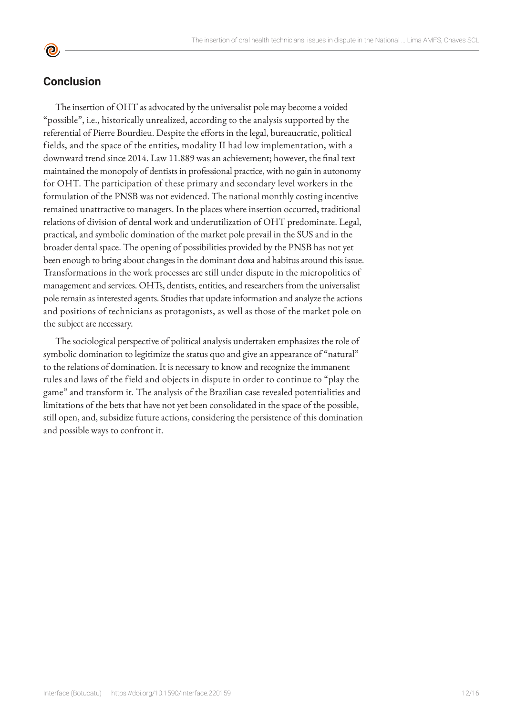## **Conclusion**

The insertion of OHT as advocated by the universalist pole may become a voided "possible", i.e., historically unrealized, according to the analysis supported by the referential of Pierre Bourdieu. Despite the efforts in the legal, bureaucratic, political fields, and the space of the entities, modality II had low implementation, with a downward trend since 2014. Law 11.889 was an achievement; however, the final text maintained the monopoly of dentists in professional practice, with no gain in autonomy for OHT. The participation of these primary and secondary level workers in the formulation of the PNSB was not evidenced. The national monthly costing incentive remained unattractive to managers. In the places where insertion occurred, traditional relations of division of dental work and underutilization of OHT predominate. Legal, practical, and symbolic domination of the market pole prevail in the SUS and in the broader dental space. The opening of possibilities provided by the PNSB has not yet been enough to bring about changes in the dominant doxa and habitus around this issue. Transformations in the work processes are still under dispute in the micropolitics of management and services. OHTs, dentists, entities, and researchers from the universalist pole remain as interested agents. Studies that update information and analyze the actions and positions of technicians as protagonists, as well as those of the market pole on the subject are necessary.

The sociological perspective of political analysis undertaken emphasizes the role of symbolic domination to legitimize the status quo and give an appearance of "natural" to the relations of domination. It is necessary to know and recognize the immanent rules and laws of the field and objects in dispute in order to continue to "play the game" and transform it. The analysis of the Brazilian case revealed potentialities and limitations of the bets that have not yet been consolidated in the space of the possible, still open, and, subsidize future actions, considering the persistence of this domination and possible ways to confront it.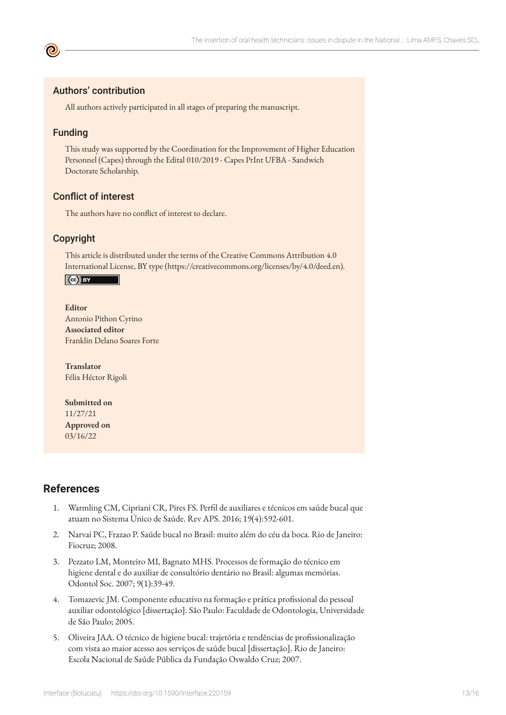#### Authors' contribution

All authors actively participated in all stages of preparing the manuscript.

#### Funding

This study was supported by the Coordination for the Improvement of Higher Education Personnel (Capes) through the Edital 010/2019 - Capes PrInt UFBA - Sandwich Doctorate Scholarship.

#### Conflict of interest

The authors have no conflict of interest to declare.

#### Copyright

This article is distributed under the terms of the Creative Commons Attribution 4.0 International License, BY type (https://creativecommons.org/licenses/by/4.0/deed.en).

#### $\left($ ce  $\right)$  BY

#### **Editor**

Antonio Pithon Cyrino **Associated editor** Franklin Delano Soares Forte

**Translator** Félix Héctor Rigoli

**Submitted on** 11/27/21 **Approved on** 03/16/22

#### **References**

- 1. Warmling CM, Cipriani CR, Pires FS. Perfil de auxiliares e técnicos em saúde bucal que atuam no Sistema Único de Saúde. Rev APS. 2016; 19(4):592-601.
- 2. Narvai PC, Frazao P. Saúde bucal no Brasil: muito além do céu da boca. Rio de Janeiro: Fiocruz; 2008.
- 3. Pezzato LM, Monteiro MI, Bagnato MHS. Processos de formação do técnico em higiene dental e do auxiliar de consultório dentário no Brasil: algumas memórias. Odontol Soc. 2007; 9(1):39-49.
- 4. Tomazevic JM. Componente educativo na formação e prática profissional do pessoal auxiliar odontológico [dissertação]. São Paulo: Faculdade de Odontologia, Universidade de São Paulo; 2005.
- 5. Oliveira JAA. O técnico de higiene bucal: trajetória e tendências de profissionalização com vista ao maior acesso aos serviços de saúde bucal [dissertação]. Rio de Janeiro: Escola Nacional de Saúde Pública da Fundação Oswaldo Cruz; 2007.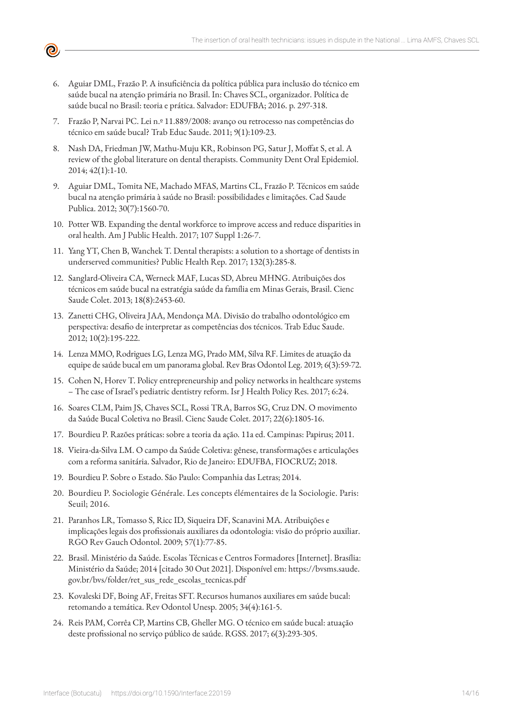

- 6. Aguiar DML, Frazão P. A insuficiência da política pública para inclusão do técnico em saúde bucal na atenção primária no Brasil. In: Chaves SCL, organizador. Política de saúde bucal no Brasil: teoria e prática. Salvador: EDUFBA; 2016. p. 297-318.
- 7. Frazão P, Narvai PC. Lei n.º 11.889/2008: avanço ou retrocesso nas competências do técnico em saúde bucal? Trab Educ Saude. 2011; 9(1):109-23.
- 8. Nash DA, Friedman JW, Mathu-Muju KR, Robinson PG, Satur J, Moffat S, et al. A review of the global literature on dental therapists. Community Dent Oral Epidemiol. 2014; 42(1):1-10.
- 9. Aguiar DML, Tomita NE, Machado MFAS, Martins CL, Frazão P. Técnicos em saúde bucal na atenção primária à saúde no Brasil: possibilidades e limitações. Cad Saude Publica. 2012; 30(7):1560-70.
- 10. Potter WB. Expanding the dental workforce to improve access and reduce disparities in oral health. Am J Public Health. 2017; 107 Suppl 1:26-7.
- 11. Yang YT, Chen B, Wanchek T. Dental therapists: a solution to a shortage of dentists in underserved communities? Public Health Rep. 2017; 132(3):285-8.
- 12. Sanglard-Oliveira CA, Werneck MAF, Lucas SD, Abreu MHNG. Atribuições dos técnicos em saúde bucal na estratégia saúde da família em Minas Gerais, Brasil. Cienc Saude Colet. 2013; 18(8):2453-60.
- 13. Zanetti CHG, Oliveira JAA, Mendonça MA. Divisão do trabalho odontológico em perspectiva: desafio de interpretar as competências dos técnicos. Trab Educ Saude. 2012; 10(2):195-222.
- 14. Lenza MMO, Rodrigues LG, Lenza MG, Prado MM, Silva RF. Limites de atuação da equipe de saúde bucal em um panorama global. Rev Bras Odontol Leg. 2019; 6(3):59-72.
- 15. Cohen N, Horev T. Policy entrepreneurship and policy networks in healthcare systems – The case of Israel's pediatric dentistry reform. Isr J Health Policy Res. 2017; 6:24.
- 16. Soares CLM, Paim JS, Chaves SCL, Rossi TRA, Barros SG, Cruz DN. O movimento da Saúde Bucal Coletiva no Brasil. Cienc Saude Colet. 2017; 22(6):1805-16.
- 17. Bourdieu P. Razões práticas: sobre a teoria da ação. 11a ed. Campinas: Papirus; 2011.
- 18. Vieira-da-Silva LM. O campo da Saúde Coletiva: gênese, transformações e articulações com a reforma sanitária. Salvador, Rio de Janeiro: EDUFBA, FIOCRUZ; 2018.
- 19. Bourdieu P. Sobre o Estado. São Paulo: Companhia das Letras; 2014.
- 20. Bourdieu P. Sociologie Générale. Les concepts élémentaires de la Sociologie. Paris: Seuil; 2016.
- 21. Paranhos LR, Tomasso S, Ricc ID, Siqueira DF, Scanavini MA. Atribuições e implicações legais dos profissionais auxiliares da odontologia: visão do próprio auxiliar. RGO Rev Gauch Odontol. 2009; 57(1):77-85.
- 22. Brasil. Ministério da Saúde. Escolas Técnicas e Centros Formadores [Internet]. Brasília: Ministério da Saúde; 2014 [citado 30 Out 2021]. Disponível em: https://bvsms.saude. gov.br/bvs/folder/ret\_sus\_rede\_escolas\_tecnicas.pdf
- 23. Kovaleski DF, Boing AF, Freitas SFT. Recursos humanos auxiliares em saúde bucal: retomando a temática. Rev Odontol Unesp. 2005; 34(4):161-5.
- 24. Reis PAM, Corrêa CP, Martins CB, Gheller MG. O técnico em saúde bucal: atuação deste profissional no serviço público de saúde. RGSS. 2017; 6(3):293-305.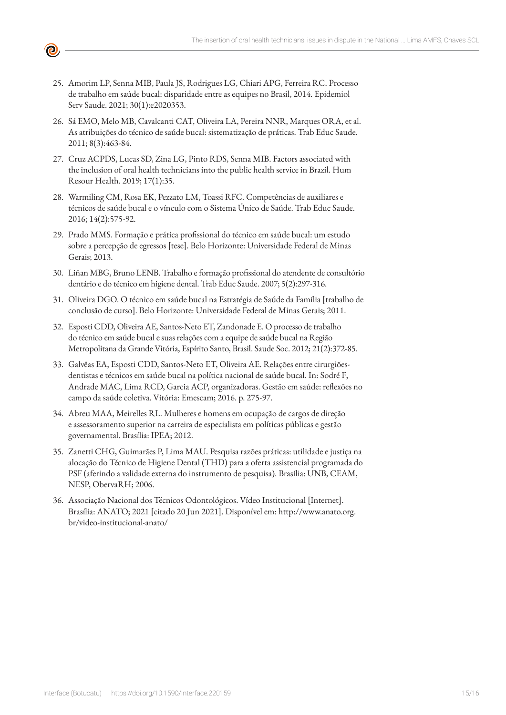

- 25. Amorim LP, Senna MIB, Paula JS, Rodrigues LG, Chiari APG, Ferreira RC. Processo de trabalho em saúde bucal: disparidade entre as equipes no Brasil, 2014. Epidemiol Serv Saude. 2021; 30(1):e2020353.
- 26. Sá EMO, Melo MB, Cavalcanti CAT, Oliveira LA, Pereira NNR, Marques ORA, et al. As atribuições do técnico de saúde bucal: sistematização de práticas. Trab Educ Saude. 2011; 8(3):463-84.
- 27. Cruz ACPDS, Lucas SD, Zina LG, Pinto RDS, Senna MIB. Factors associated with the inclusion of oral health technicians into the public health service in Brazil. Hum Resour Health. 2019; 17(1):35.
- 28. Warmiling CM, Rosa EK, Pezzato LM, Toassi RFC. Competências de auxiliares e técnicos de saúde bucal e o vínculo com o Sistema Único de Saúde. Trab Educ Saude. 2016; 14(2):575-92.
- 29. Prado MMS. Formação e prática profissional do técnico em saúde bucal: um estudo sobre a percepção de egressos [tese]. Belo Horizonte: Universidade Federal de Minas Gerais; 2013.
- 30. Liñan MBG, Bruno LENB. Trabalho e formação profissional do atendente de consultório dentário e do técnico em higiene dental. Trab Educ Saude. 2007; 5(2):297-316.
- 31. Oliveira DGO. O técnico em saúde bucal na Estratégia de Saúde da Família [trabalho de conclusão de curso]. Belo Horizonte: Universidade Federal de Minas Gerais; 2011.
- 32. Esposti CDD, Oliveira AE, Santos-Neto ET, Zandonade E. O processo de trabalho do técnico em saúde bucal e suas relações com a equipe de saúde bucal na Região Metropolitana da Grande Vitória, Espírito Santo, Brasil. Saude Soc. 2012; 21(2):372-85.
- 33. Galvêas EA, Esposti CDD, Santos-Neto ET, Oliveira AE. Relações entre cirurgiõesdentistas e técnicos em saúde bucal na política nacional de saúde bucal. In: Sodré F, Andrade MAC, Lima RCD, Garcia ACP, organizadoras. Gestão em saúde: reflexões no campo da saúde coletiva. Vitória: Emescam; 2016. p. 275-97.
- 34. Abreu MAA, Meirelles RL. Mulheres e homens em ocupação de cargos de direção e assessoramento superior na carreira de especialista em políticas públicas e gestão governamental. Brasília: IPEA; 2012.
- 35. Zanetti CHG, Guimarães P, Lima MAU. Pesquisa razões práticas: utilidade e justiça na alocação do Técnico de Higiene Dental (THD) para a oferta assistencial programada do PSF (aferindo a validade externa do instrumento de pesquisa). Brasília: UNB, CEAM, NESP, ObervaRH; 2006.
- 36. Associação Nacional dos Técnicos Odontológicos. Vídeo Institucional [Internet]. Brasília: ANATO; 2021 [citado 20 Jun 2021]. Disponível em: http://www.anato.org. br/video-institucional-anato/